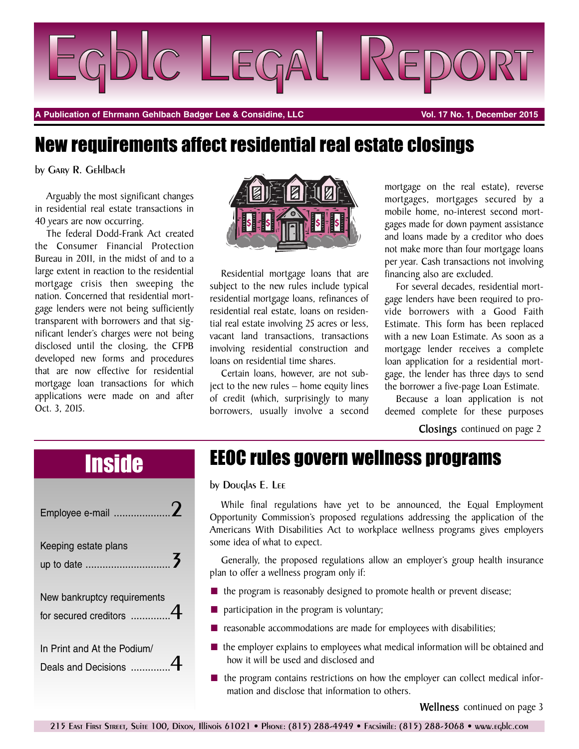

**A Publication of Ehrmann Gehlbach Badger Lee & Considine, LLC Vol. 17 No. 1, December 2015**

### New requirements affect residential real estate closings

by Gary R. Gehlbach

Arguably the most significant changes in residential real estate transactions in 40 years are now occurring.

The federal Dodd-Frank Act created the Consumer Financial Protection Bureau in 2011, in the midst of and to a large extent in reaction to the residential mortgage crisis then sweeping the nation. Concerned that residential mortgage lenders were not being sufficiently transparent with borrowers and that significant lender's charges were not being disclosed until the closing, the CFPB developed new forms and procedures that are now effective for residential mortgage loan transactions for which applications were made on and after Oct. 3, 2015.



Residential mortgage loans that are subject to the new rules include typical residential mortgage loans, refinances of residential real estate, loans on residential real estate involving 25 acres or less, vacant land transactions, transactions involving residential construction and loans on residential time shares.

Certain loans, however, are not subject to the new rules – home equity lines of credit (which, surprisingly to many borrowers, usually involve a second

mortgage on the real estate), reverse mortgages, mortgages secured by a mobile home, no-interest second mortgages made for down payment assistance and loans made by a creditor who does not make more than four mortgage loans per year. Cash transactions not involving financing also are excluded.

For several decades, residential mortgage lenders have been required to provide borrowers with a Good Faith Estimate. This form has been replaced with a new Loan Estimate. As soon as a mortgage lender receives a complete loan application for a residential mortgage, the lender has three days to send the borrower a five-page Loan Estimate.

Because a loan application is not deemed complete for these purposes

**Closings** continued on page 2

| Employee e-mail                                      |  |
|------------------------------------------------------|--|
| Keeping estate plans                                 |  |
| New bankruptcy requirements<br>for secured creditors |  |
| In Print and At the Podium/<br>Deals and Decisions   |  |

## Inside EEOC rules govern wellness programs

by Douglas E. Lee

While final regulations have yet to be announced, the Equal Employment Opportunity Commission's proposed regulations addressing the application of the Americans With Disabilities Act to workplace wellness programs gives employers some idea of what to expect.

Generally, the proposed regulations allow an employer's group health insurance plan to offer a wellness program only if:

- the program is reasonably designed to promote health or prevent disease;
- participation in the program is voluntary;
- reasonable accommodations are made for employees with disabilities;
- the employer explains to employees what medical information will be obtained and how it will be used and disclosed and
- the program contains restrictions on how the employer can collect medical information and disclose that information to others.

**Wellness** continued on page 3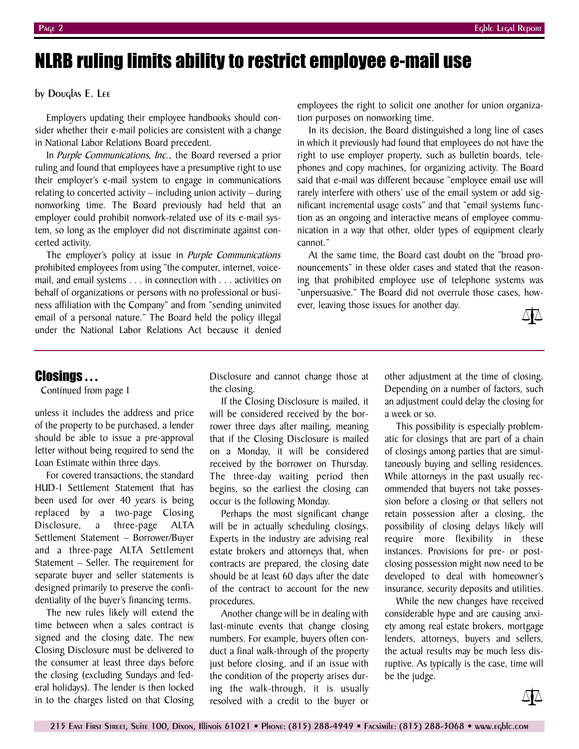### NLRB ruling limits ability to restrict employee e-mail use

#### by Douglas E. Lee

Employers updating their employee handbooks should consider whether their e-mail policies are consistent with a change in National Labor Relations Board precedent.

In *Purple Communications, Inc.*, the Board reversed a prior ruling and found that employees have a presumptive right to use their employer's e-mail system to engage in communications relating to concerted activity – including union activity – during nonworking time. The Board previously had held that an employer could prohibit nonwork-related use of its e-mail system, so long as the employer did not discriminate against concerted activity.

The employer's policy at issue in *Purple Communications* prohibited employees from using "the computer, internet, voicemail, and email systems . . . in connection with . . . activities on behalf of organizations or persons with no professional or business affiliation with the Company" and from "sending uninvited email of a personal nature." The Board held the policy illegal under the National Labor Relations Act because it denied

employees the right to solicit one another for union organization purposes on nonworking time.

In its decision, the Board distinguished a long line of cases in which it previously had found that employees do not have the right to use employer property, such as bulletin boards, telephones and copy machines, for organizing activity. The Board said that e-mail was different because "employee email use will rarely interfere with others' use of the email system or add significant incremental usage costs" and that "email systems function as an ongoing and interactive means of employee communication in a way that other, older types of equipment clearly cannot."

At the same time, the Board cast doubt on the "broad pronouncements" in these older cases and stated that the reasoning that prohibited employee use of telephone systems was "unpersuasive." The Board did not overrule those cases, however, leaving those issues for another day.



#### Closings . . .

Continued from page 1

unless it includes the address and price of the property to be purchased, a lender should be able to issue a pre-approval letter without being required to send the Loan Estimate within three days.

For covered transactions, the standard HUD-1 Settlement Statement that has been used for over 40 years is being replaced by a two-page Closing Disclosure, a three-page ALTA Settlement Statement – Borrower/Buyer and a three-page ALTA Settlement Statement – Seller. The requirement for separate buyer and seller statements is designed primarily to preserve the confidentiality of the buyer's financing terms.

The new rules likely will extend the time between when a sales contract is signed and the closing date. The new Closing Disclosure must be delivered to the consumer at least three days before the closing (excluding Sundays and federal holidays). The lender is then locked in to the charges listed on that Closing

Disclosure and cannot change those at the closing.

If the Closing Disclosure is mailed, it will be considered received by the borrower three days after mailing, meaning that if the Closing Disclosure is mailed on a Monday, it will be considered received by the borrower on Thursday. The three-day waiting period then begins, so the earliest the closing can occur is the following Monday.

Perhaps the most significant change will be in actually scheduling closings. Experts in the industry are advising real estate brokers and attorneys that, when contracts are prepared, the closing date should be at least 60 days after the date of the contract to account for the new procedures.

Another change will be in dealing with last-minute events that change closing numbers. For example, buyers often conduct a final walk-through of the property just before closing, and if an issue with the condition of the property arises during the walk-through, it is usually resolved with a credit to the buyer or

other adjustment at the time of closing. Depending on a number of factors, such an adjustment could delay the closing for a week or so.

This possibility is especially problematic for closings that are part of a chain of closings among parties that are simultaneously buying and selling residences. While attorneys in the past usually recommended that buyers not take possession before a closing or that sellers not retain possession after a closing, the possibility of closing delays likely will require more flexibility in these instances. Provisions for pre- or postclosing possession might now need to be developed to deal with homeowner's insurance, security deposits and utilities.

While the new changes have received considerable hype and are causing anxiety among real estate brokers, mortgage lenders, attorneys, buyers and sellers, the actual results may be much less disruptive. As typically is the case, time will be the judge.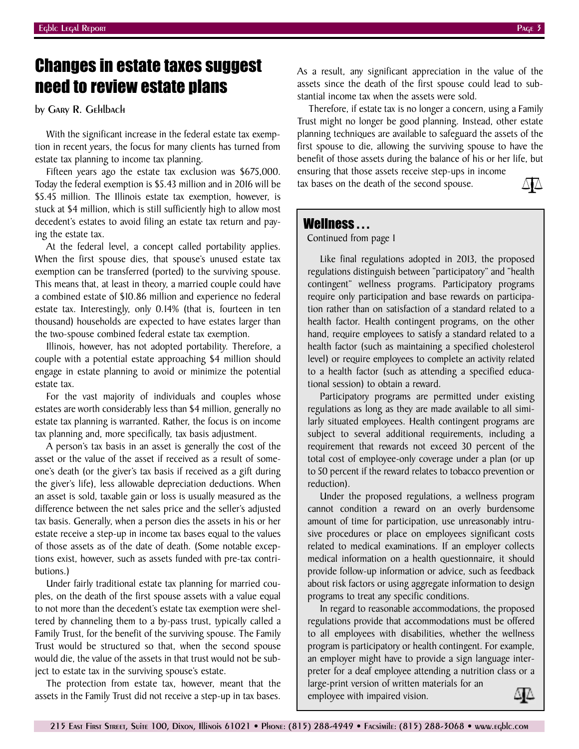### Changes in estate taxes suggest need to review estate plans

#### by Gary R. Gehlbach

With the significant increase in the federal estate tax exemption in recent years, the focus for many clients has turned from estate tax planning to income tax planning.

Fifteen years ago the estate tax exclusion was \$675,000. Today the federal exemption is \$5.43 million and in 2016 will be \$5.45 million. The Illinois estate tax exemption, however, is stuck at \$4 million, which is still sufficiently high to allow most decedent's estates to avoid filing an estate tax return and paying the estate tax.

At the federal level, a concept called portability applies. When the first spouse dies, that spouse's unused estate tax exemption can be transferred (ported) to the surviving spouse. This means that, at least in theory, a married couple could have a combined estate of \$10.86 million and experience no federal estate tax. Interestingly, only 0.14% (that is, fourteen in ten thousand) households are expected to have estates larger than the two-spouse combined federal estate tax exemption.

Illinois, however, has not adopted portability. Therefore, a couple with a potential estate approaching \$4 million should engage in estate planning to avoid or minimize the potential estate tax.

For the vast majority of individuals and couples whose estates are worth considerably less than \$4 million, generally no estate tax planning is warranted. Rather, the focus is on income tax planning and, more specifically, tax basis adjustment.

A person's tax basis in an asset is generally the cost of the asset or the value of the asset if received as a result of someone's death (or the giver's tax basis if received as a gift during the giver's life), less allowable depreciation deductions. When an asset is sold, taxable gain or loss is usually measured as the difference between the net sales price and the seller's adjusted tax basis. Generally, when a person dies the assets in his or her estate receive a step-up in income tax bases equal to the values of those assets as of the date of death. (Some notable exceptions exist, however, such as assets funded with pre-tax contributions.)

Under fairly traditional estate tax planning for married couples, on the death of the first spouse assets with a value equal to not more than the decedent's estate tax exemption were sheltered by channeling them to a by-pass trust, typically called a Family Trust, for the benefit of the surviving spouse. The Family Trust would be structured so that, when the second spouse would die, the value of the assets in that trust would not be subject to estate tax in the surviving spouse's estate.

The protection from estate tax, however, meant that the assets in the Family Trust did not receive a step-up in tax bases. As a result, any significant appreciation in the value of the assets since the death of the first spouse could lead to substantial income tax when the assets were sold.

Therefore, if estate tax is no longer a concern, using a Family Trust might no longer be good planning. Instead, other estate planning techniques are available to safeguard the assets of the first spouse to die, allowing the surviving spouse to have the benefit of those assets during the balance of his or her life, but ensuring that those assets receive step-ups in income

tax bases on the death of the second spouse.



### Wellness ...

Continued from page 1

Like final regulations adopted in 2013, the proposed regulations distinguish between "participatory" and "health contingent" wellness programs. Participatory programs require only participation and base rewards on participation rather than on satisfaction of a standard related to a health factor. Health contingent programs, on the other hand, require employees to satisfy a standard related to a health factor (such as maintaining a specified cholesterol level) or require employees to complete an activity related to a health factor (such as attending a specified educational session) to obtain a reward.

Participatory programs are permitted under existing regulations as long as they are made available to all similarly situated employees. Health contingent programs are subject to several additional requirements, including a requirement that rewards not exceed 30 percent of the total cost of employee-only coverage under a plan (or up to 50 percent if the reward relates to tobacco prevention or reduction).

Under the proposed regulations, a wellness program cannot condition a reward on an overly burdensome amount of time for participation, use unreasonably intrusive procedures or place on employees significant costs related to medical examinations. If an employer collects medical information on a health questionnaire, it should provide follow-up information or advice, such as feedback about risk factors or using aggregate information to design programs to treat any specific conditions.

In regard to reasonable accommodations, the proposed regulations provide that accommodations must be offered to all employees with disabilities, whether the wellness program is participatory or health contingent. For example, an employer might have to provide a sign language interpreter for a deaf employee attending a nutrition class or a large-print version of written materials for an employee with impaired vision.